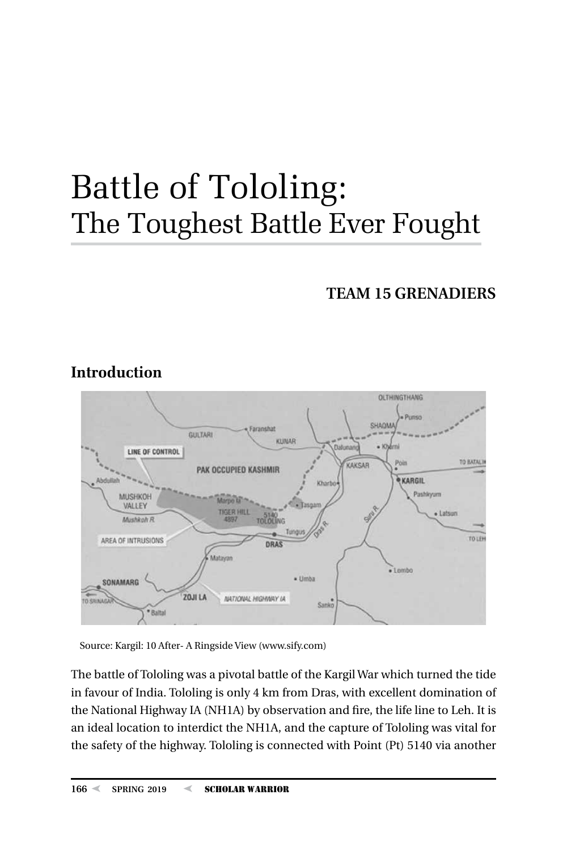# Battle of Tololing: The Toughest Battle Ever Fought

# **TEAM 15 GRENADIERS**



# **Introduction**

Source: Kargil: 10 After- A Ringside View (www.sify.com)

The battle of Tololing was a pivotal battle of the Kargil War which turned the tide in favour of India. Tololing is only 4 km from Dras, with excellent domination of the National Highway IA (NH1A) by observation and fire, the life line to Leh. It is an ideal location to interdict the NH1A, and the capture of Tololing was vital for the safety of the highway. Tololing is connected with Point (Pt) 5140 via another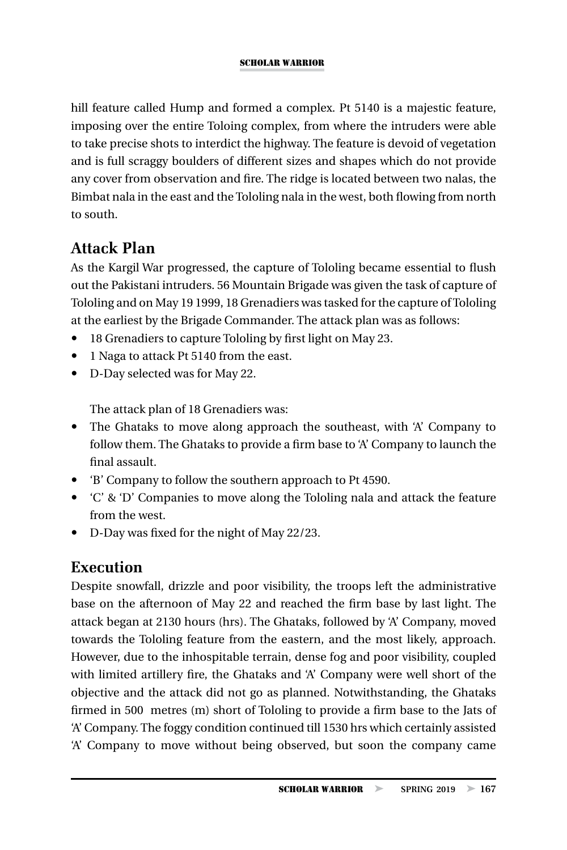hill feature called Hump and formed a complex. Pt 5140 is a majestic feature, imposing over the entire Toloing complex, from where the intruders were able to take precise shots to interdict the highway. The feature is devoid of vegetation and is full scraggy boulders of different sizes and shapes which do not provide any cover from observation and fire. The ridge is located between two nalas, the Bimbat nala in the east and the Tololing nala in the west, both flowing from north to south.

# **Attack Plan**

As the Kargil War progressed, the capture of Tololing became essential to flush out the Pakistani intruders. 56 Mountain Brigade was given the task of capture of Tololing and on May 19 1999, 18 Grenadiers was tasked for the capture of Tololing at the earliest by the Brigade Commander. The attack plan was as follows:

- 18 Grenadiers to capture Tololing by first light on May 23.
- 1 Naga to attack Pt 5140 from the east.
- D-Day selected was for May 22.

The attack plan of 18 Grenadiers was:

- The Ghataks to move along approach the southeast, with 'A' Company to follow them. The Ghataks to provide a firm base to 'A' Company to launch the final assault.
- y 'B' Company to follow the southern approach to Pt 4590.
- y 'C' & 'D' Companies to move along the Tololing nala and attack the feature from the west.
- D-Day was fixed for the night of May 22/23.

# **Execution**

Despite snowfall, drizzle and poor visibility, the troops left the administrative base on the afternoon of May 22 and reached the firm base by last light. The attack began at 2130 hours (hrs). The Ghataks, followed by 'A' Company, moved towards the Tololing feature from the eastern, and the most likely, approach. However, due to the inhospitable terrain, dense fog and poor visibility, coupled with limited artillery fire, the Ghataks and 'A' Company were well short of the objective and the attack did not go as planned. Notwithstanding, the Ghataks firmed in 500 metres (m) short of Tololing to provide a firm base to the Jats of 'A' Company. The foggy condition continued till 1530 hrs which certainly assisted 'A' Company to move without being observed, but soon the company came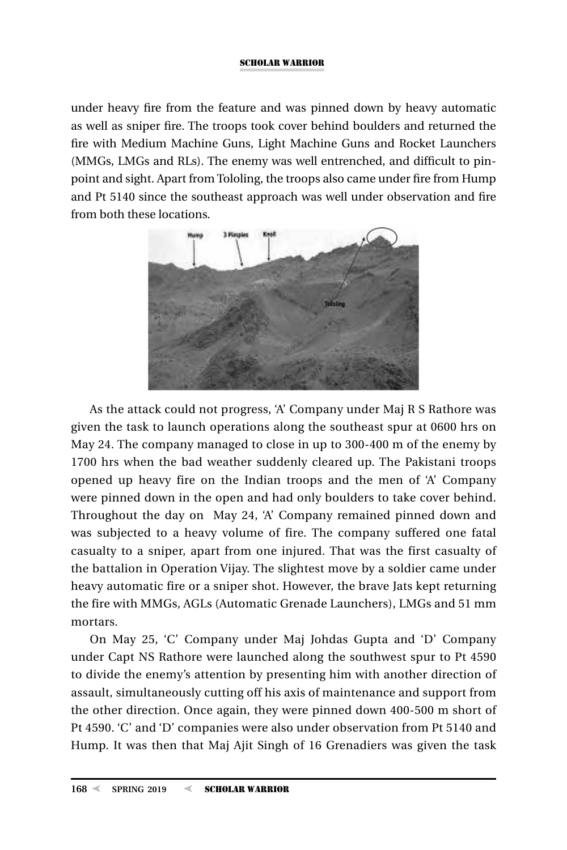under heavy fire from the feature and was pinned down by heavy automatic as well as sniper fire. The troops took cover behind boulders and returned the fire with Medium Machine Guns, Light Machine Guns and Rocket Launchers (MMGs, LMGs and RLs). The enemy was well entrenched, and difficult to pinpoint and sight. Apart from Tololing, the troops also came under fire from Hump and Pt 5140 since the southeast approach was well under observation and fire from both these locations.



As the attack could not progress, 'A' Company under Maj R S Rathore was given the task to launch operations along the southeast spur at 0600 hrs on May 24. The company managed to close in up to 300-400 m of the enemy by 1700 hrs when the bad weather suddenly cleared up. The Pakistani troops opened up heavy fire on the Indian troops and the men of 'A' Company were pinned down in the open and had only boulders to take cover behind. Throughout the day on May 24, 'A' Company remained pinned down and was subjected to a heavy volume of fire. The company suffered one fatal casualty to a sniper, apart from one injured. That was the first casualty of the battalion in Operation Vijay. The slightest move by a soldier came under heavy automatic fire or a sniper shot. However, the brave Jats kept returning the fire with MMGs, AGLs (Automatic Grenade Launchers), LMGs and 51 mm mortars.

On May 25, 'C' Company under Maj Johdas Gupta and 'D' Company under Capt NS Rathore were launched along the southwest spur to Pt 4590 to divide the enemy's attention by presenting him with another direction of assault, simultaneously cutting off his axis of maintenance and support from the other direction. Once again, they were pinned down 400-500 m short of Pt 4590. 'C' and 'D' companies were also under observation from Pt 5140 and Hump. It was then that Maj Ajit Singh of 16 Grenadiers was given the task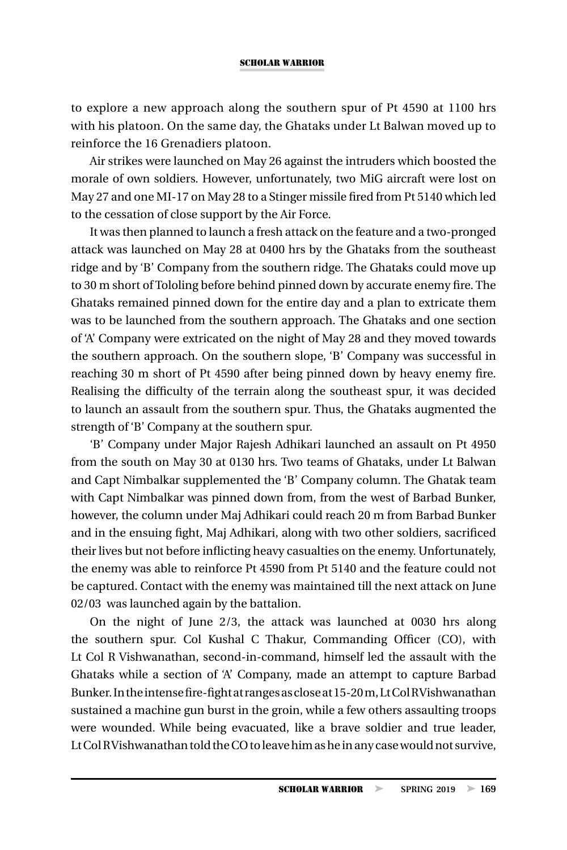to explore a new approach along the southern spur of Pt 4590 at 1100 hrs with his platoon. On the same day, the Ghataks under Lt Balwan moved up to reinforce the 16 Grenadiers platoon.

Air strikes were launched on May 26 against the intruders which boosted the morale of own soldiers. However, unfortunately, two MiG aircraft were lost on May 27 and one MI-17 on May 28 to a Stinger missile fired from Pt 5140 which led to the cessation of close support by the Air Force.

It was then planned to launch a fresh attack on the feature and a two-pronged attack was launched on May 28 at 0400 hrs by the Ghataks from the southeast ridge and by 'B' Company from the southern ridge. The Ghataks could move up to 30 m short of Tololing before behind pinned down by accurate enemy fire. The Ghataks remained pinned down for the entire day and a plan to extricate them was to be launched from the southern approach. The Ghataks and one section of 'A' Company were extricated on the night of May 28 and they moved towards the southern approach. On the southern slope, 'B' Company was successful in reaching 30 m short of Pt 4590 after being pinned down by heavy enemy fire. Realising the difficulty of the terrain along the southeast spur, it was decided to launch an assault from the southern spur. Thus, the Ghataks augmented the strength of 'B' Company at the southern spur.

'B' Company under Major Rajesh Adhikari launched an assault on Pt 4950 from the south on May 30 at 0130 hrs. Two teams of Ghataks, under Lt Balwan and Capt Nimbalkar supplemented the 'B' Company column. The Ghatak team with Capt Nimbalkar was pinned down from, from the west of Barbad Bunker, however, the column under Maj Adhikari could reach 20 m from Barbad Bunker and in the ensuing fight, Maj Adhikari, along with two other soldiers, sacrificed their lives but not before inflicting heavy casualties on the enemy. Unfortunately, the enemy was able to reinforce Pt 4590 from Pt 5140 and the feature could not be captured. Contact with the enemy was maintained till the next attack on June 02/03 was launched again by the battalion.

On the night of June 2/3, the attack was launched at 0030 hrs along the southern spur. Col Kushal C Thakur, Commanding Officer (CO), with Lt Col R Vishwanathan, second-in-command, himself led the assault with the Ghataks while a section of 'A' Company, made an attempt to capture Barbad Bunker. In the intense fire-fight at ranges as close at 15-20 m, Lt Col R Vishwanathan sustained a machine gun burst in the groin, while a few others assaulting troops were wounded. While being evacuated, like a brave soldier and true leader, Lt Col R Vishwanathan told the CO to leave him as he in any case would not survive,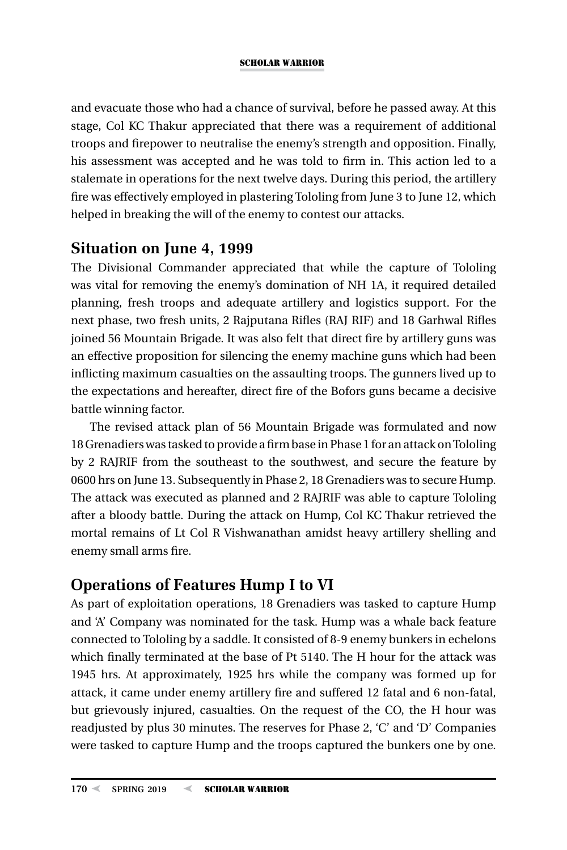and evacuate those who had a chance of survival, before he passed away. At this stage, Col KC Thakur appreciated that there was a requirement of additional troops and firepower to neutralise the enemy's strength and opposition. Finally, his assessment was accepted and he was told to firm in. This action led to a stalemate in operations for the next twelve days. During this period, the artillery fire was effectively employed in plastering Tololing from June 3 to June 12, which helped in breaking the will of the enemy to contest our attacks.

### **Situation on June 4, 1999**

The Divisional Commander appreciated that while the capture of Tololing was vital for removing the enemy's domination of NH 1A, it required detailed planning, fresh troops and adequate artillery and logistics support. For the next phase, two fresh units, 2 Rajputana Rifles (RAJ RIF) and 18 Garhwal Rifles joined 56 Mountain Brigade. It was also felt that direct fire by artillery guns was an effective proposition for silencing the enemy machine guns which had been inflicting maximum casualties on the assaulting troops. The gunners lived up to the expectations and hereafter, direct fire of the Bofors guns became a decisive battle winning factor.

The revised attack plan of 56 Mountain Brigade was formulated and now 18 Grenadiers was tasked to provide a firm base in Phase 1 for an attack on Tololing by 2 RAJRIF from the southeast to the southwest, and secure the feature by 0600 hrs on June 13. Subsequently in Phase 2, 18 Grenadiers was to secure Hump. The attack was executed as planned and 2 RAJRIF was able to capture Tololing after a bloody battle. During the attack on Hump, Col KC Thakur retrieved the mortal remains of Lt Col R Vishwanathan amidst heavy artillery shelling and enemy small arms fire.

# **Operations of Features Hump I to VI**

As part of exploitation operations, 18 Grenadiers was tasked to capture Hump and 'A' Company was nominated for the task. Hump was a whale back feature connected to Tololing by a saddle. It consisted of 8-9 enemy bunkers in echelons which finally terminated at the base of Pt 5140. The H hour for the attack was 1945 hrs. At approximately, 1925 hrs while the company was formed up for attack, it came under enemy artillery fire and suffered 12 fatal and 6 non-fatal, but grievously injured, casualties. On the request of the CO, the H hour was readjusted by plus 30 minutes. The reserves for Phase 2, 'C' and 'D' Companies were tasked to capture Hump and the troops captured the bunkers one by one.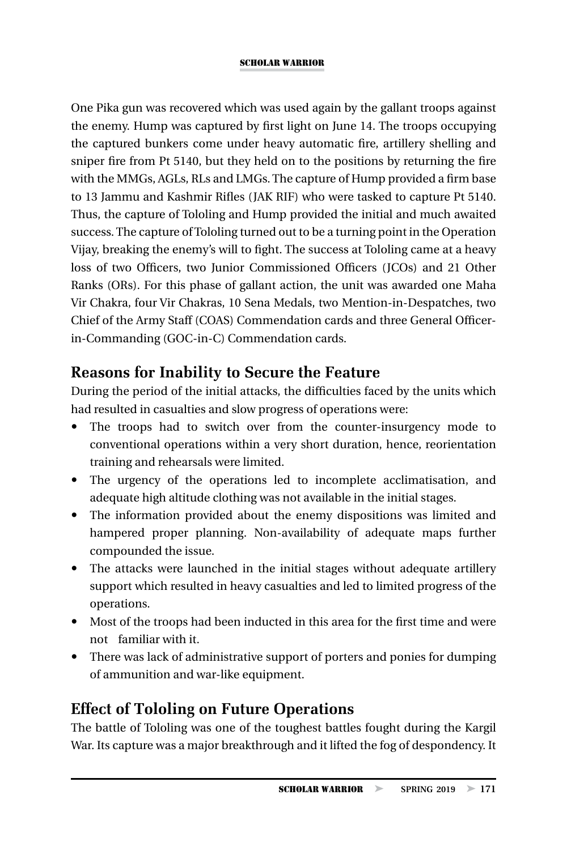One Pika gun was recovered which was used again by the gallant troops against the enemy. Hump was captured by first light on June 14. The troops occupying the captured bunkers come under heavy automatic fire, artillery shelling and sniper fire from Pt 5140, but they held on to the positions by returning the fire with the MMGs, AGLs, RLs and LMGs. The capture of Hump provided a firm base to 13 Jammu and Kashmir Rifles (JAK RIF) who were tasked to capture Pt 5140. Thus, the capture of Tololing and Hump provided the initial and much awaited success. The capture of Tololing turned out to be a turning point in the Operation Vijay, breaking the enemy's will to fight. The success at Tololing came at a heavy loss of two Officers, two Junior Commissioned Officers (JCOs) and 21 Other Ranks (ORs). For this phase of gallant action, the unit was awarded one Maha Vir Chakra, four Vir Chakras, 10 Sena Medals, two Mention-in-Despatches, two Chief of the Army Staff (COAS) Commendation cards and three General Officerin-Commanding (GOC-in-C) Commendation cards.

### **Reasons for Inability to Secure the Feature**

During the period of the initial attacks, the difficulties faced by the units which had resulted in casualties and slow progress of operations were:

- The troops had to switch over from the counter-insurgency mode to conventional operations within a very short duration, hence, reorientation training and rehearsals were limited.
- The urgency of the operations led to incomplete acclimatisation, and adequate high altitude clothing was not available in the initial stages.
- The information provided about the enemy dispositions was limited and hampered proper planning. Non-availability of adequate maps further compounded the issue.
- The attacks were launched in the initial stages without adequate artillery support which resulted in heavy casualties and led to limited progress of the operations.
- Most of the troops had been inducted in this area for the first time and were not familiar with it.
- There was lack of administrative support of porters and ponies for dumping of ammunition and war-like equipment.

# **Effect of Tololing on Future Operations**

The battle of Tololing was one of the toughest battles fought during the Kargil War. Its capture was a major breakthrough and it lifted the fog of despondency. It